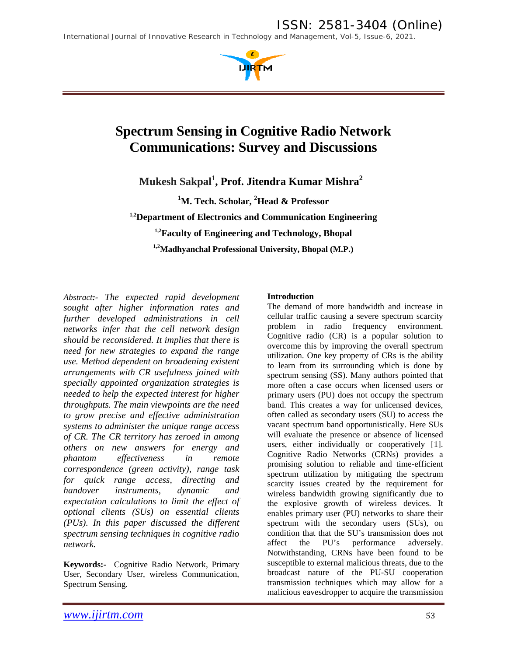*International Journal of Innovative Research in Technology and Management, Vol-5, Issue-6, 2021.* 



# **Spectrum Sensing in Cognitive Radio Network Communications: Survey and Discussions**

**Mukesh Sakpal1 , Prof. Jitendra Kumar Mishra<sup>2</sup>**

<sup>1</sup>M. Tech. Scholar, <sup>2</sup>Head & Professor

**1,2Department of Electronics and Communication Engineering 1,2Faculty of Engineering and Technology, Bhopal 1,2Madhyanchal Professional University, Bhopal (M.P.)** 

*Abstract:- The expected rapid development sought after higher information rates and further developed administrations in cell networks infer that the cell network design should be reconsidered. It implies that there is need for new strategies to expand the range use. Method dependent on broadening existent arrangements with CR usefulness joined with specially appointed organization strategies is needed to help the expected interest for higher throughputs. The main viewpoints are the need to grow precise and effective administration systems to administer the unique range access of CR. The CR territory has zeroed in among others on new answers for energy and phantom effectiveness in remote correspondence (green activity), range task for quick range access, directing and handover instruments, dynamic and expectation calculations to limit the effect of optional clients (SUs) on essential clients (PUs). In this paper discussed the different spectrum sensing techniques in cognitive radio network.* 

**Keywords:-** Cognitive Radio Network, Primary User, Secondary User, wireless Communication, Spectrum Sensing.

### **Introduction**

The demand of more bandwidth and increase in cellular traffic causing a severe spectrum scarcity problem in radio frequency environment. Cognitive radio (CR) is a popular solution to overcome this by improving the overall spectrum utilization. One key property of CRs is the ability to learn from its surrounding which is done by spectrum sensing (SS). Many authors pointed that more often a case occurs when licensed users or primary users (PU) does not occupy the spectrum band. This creates a way for unlicensed devices, often called as secondary users (SU) to access the vacant spectrum band opportunistically. Here SUs will evaluate the presence or absence of licensed users, either individually or cooperatively [1]. Cognitive Radio Networks (CRNs) provides a promising solution to reliable and time-efficient spectrum utilization by mitigating the spectrum scarcity issues created by the requirement for wireless bandwidth growing significantly due to the explosive growth of wireless devices. It enables primary user (PU) networks to share their spectrum with the secondary users (SUs), on condition that that the SU's transmission does not affect the PU's performance adversely. Notwithstanding, CRNs have been found to be susceptible to external malicious threats, due to the broadcast nature of the PU-SU cooperation transmission techniques which may allow for a malicious eavesdropper to acquire the transmission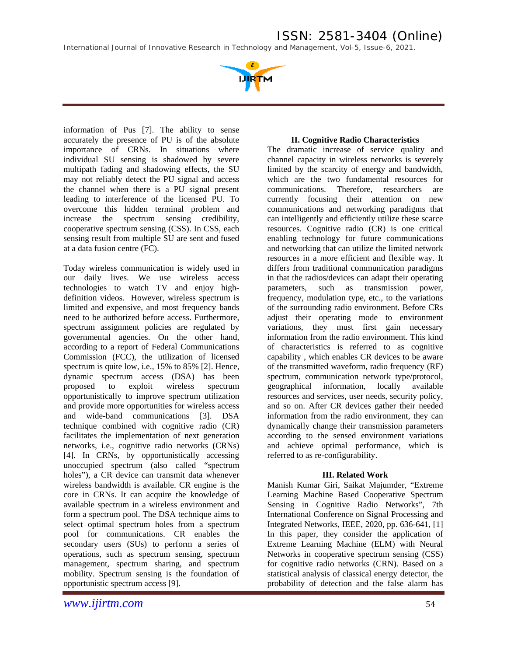*International Journal of Innovative Research in Technology and Management, Vol-5, Issue-6, 2021.* 



information of Pus [7]. The ability to sense accurately the presence of PU is of the absolute importance of CRNs. In situations where individual SU sensing is shadowed by severe multipath fading and shadowing effects, the SU may not reliably detect the PU signal and access the channel when there is a PU signal present leading to interference of the licensed PU. To overcome this hidden terminal problem and increase the spectrum sensing credibility, cooperative spectrum sensing (CSS). In CSS, each sensing result from multiple SU are sent and fused at a data fusion centre (FC).

Today wireless communication is widely used in our daily lives. We use wireless access technologies to watch TV and enjoy highdefinition videos. However, wireless spectrum is limited and expensive, and most frequency bands need to be authorized before access. Furthermore, spectrum assignment policies are regulated by governmental agencies. On the other hand, according to a report of Federal Communications Commission (FCC), the utilization of licensed spectrum is quite low, i.e., 15% to 85% [2]. Hence, dynamic spectrum access (DSA) has been proposed to exploit wireless spectrum opportunistically to improve spectrum utilization and provide more opportunities for wireless access and wide-band communications [3]. DSA technique combined with cognitive radio (CR) facilitates the implementation of next generation networks, i.e., cognitive radio networks (CRNs) [4]. In CRNs, by opportunistically accessing unoccupied spectrum (also called "spectrum holes"), a CR device can transmit data whenever wireless bandwidth is available. CR engine is the core in CRNs. It can acquire the knowledge of available spectrum in a wireless environment and form a spectrum pool. The DSA technique aims to select optimal spectrum holes from a spectrum pool for communications. CR enables the secondary users (SUs) to perform a series of operations, such as spectrum sensing, spectrum management, spectrum sharing, and spectrum mobility. Spectrum sensing is the foundation of opportunistic spectrum access [9].

### **II. Cognitive Radio Characteristics**

The dramatic increase of service quality and channel capacity in wireless networks is severely limited by the scarcity of energy and bandwidth, which are the two fundamental resources for communications. Therefore, researchers are currently focusing their attention on new communications and networking paradigms that can intelligently and efficiently utilize these scarce resources. Cognitive radio (CR) is one critical enabling technology for future communications and networking that can utilize the limited network resources in a more efficient and flexible way. It differs from traditional communication paradigms in that the radios/devices can adapt their operating parameters, such as transmission power, frequency, modulation type, etc., to the variations of the surrounding radio environment. Before CRs adjust their operating mode to environment variations, they must first gain necessary information from the radio environment. This kind of characteristics is referred to as cognitive capability , which enables CR devices to be aware of the transmitted waveform, radio frequency (RF) spectrum, communication network type/protocol, geographical information, locally available resources and services, user needs, security policy, and so on. After CR devices gather their needed information from the radio environment, they can dynamically change their transmission parameters according to the sensed environment variations and achieve optimal performance, which is referred to as re-configurability.

### **III. Related Work**

Manish Kumar Giri, Saikat Majumder, "Extreme Learning Machine Based Cooperative Spectrum Sensing in Cognitive Radio Networks", 7th International Conference on Signal Processing and Integrated Networks, IEEE, 2020, pp. 636-641, [1] In this paper, they consider the application of Extreme Learning Machine (ELM) with Neural Networks in cooperative spectrum sensing (CSS) for cognitive radio networks (CRN). Based on a statistical analysis of classical energy detector, the probability of detection and the false alarm has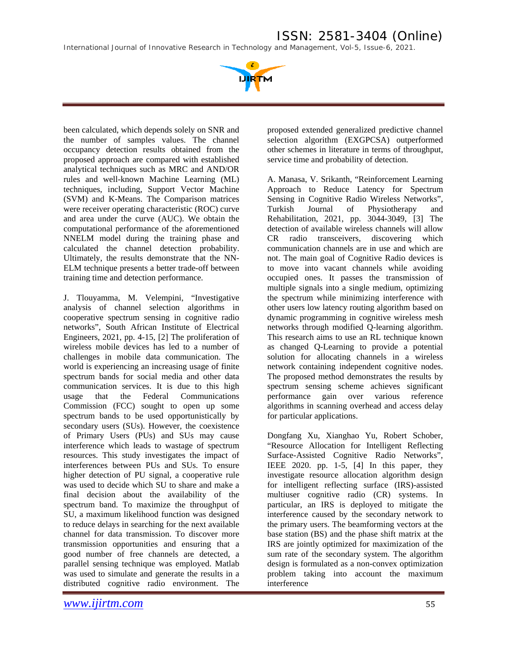*International Journal of Innovative Research in Technology and Management, Vol-5, Issue-6, 2021.* 



been calculated, which depends solely on SNR and the number of samples values. The channel occupancy detection results obtained from the proposed approach are compared with established analytical techniques such as MRC and AND/OR rules and well-known Machine Learning (ML) techniques, including, Support Vector Machine (SVM) and K-Means. The Comparison matrices were receiver operating characteristic (ROC) curve and area under the curve (AUC). We obtain the computational performance of the aforementioned NNELM model during the training phase and calculated the channel detection probability. Ultimately, the results demonstrate that the NN-ELM technique presents a better trade-off between training time and detection performance.

J. Tlouyamma, M. Velempini, "Investigative analysis of channel selection algorithms in cooperative spectrum sensing in cognitive radio networks", South African Institute of Electrical Engineers, 2021, pp. 4-15, [2] The proliferation of wireless mobile devices has led to a number of challenges in mobile data communication. The world is experiencing an increasing usage of finite spectrum bands for social media and other data communication services. It is due to this high usage that the Federal Communications Commission (FCC) sought to open up some spectrum bands to be used opportunistically by secondary users (SUs). However, the coexistence of Primary Users (PUs) and SUs may cause interference which leads to wastage of spectrum resources. This study investigates the impact of interferences between PUs and SUs. To ensure higher detection of PU signal, a cooperative rule was used to decide which SU to share and make a final decision about the availability of the spectrum band. To maximize the throughput of SU, a maximum likelihood function was designed to reduce delays in searching for the next available channel for data transmission. To discover more transmission opportunities and ensuring that a good number of free channels are detected, a parallel sensing technique was employed. Matlab was used to simulate and generate the results in a distributed cognitive radio environment. The proposed extended generalized predictive channel selection algorithm (EXGPCSA) outperformed other schemes in literature in terms of throughput, service time and probability of detection.

A. Manasa, V. Srikanth, "Reinforcement Learning Approach to Reduce Latency for Spectrum Sensing in Cognitive Radio Wireless Networks", Turkish Journal of Physiotherapy and Rehabilitation, 2021, pp. 3044-3049, [3] The detection of available wireless channels will allow CR radio transceivers, discovering which communication channels are in use and which are not. The main goal of Cognitive Radio devices is to move into vacant channels while avoiding occupied ones. It passes the transmission of multiple signals into a single medium, optimizing the spectrum while minimizing interference with other users low latency routing algorithm based on dynamic programming in cognitive wireless mesh networks through modified Q-learning algorithm. This research aims to use an RL technique known as changed Q-Learning to provide a potential solution for allocating channels in a wireless network containing independent cognitive nodes. The proposed method demonstrates the results by spectrum sensing scheme achieves significant performance gain over various reference algorithms in scanning overhead and access delay for particular applications.

Dongfang Xu, Xianghao Yu, Robert Schober, "Resource Allocation for Intelligent Reflecting Surface-Assisted Cognitive Radio Networks", IEEE 2020. pp. 1-5, [4] In this paper, they investigate resource allocation algorithm design for intelligent reflecting surface (IRS)-assisted multiuser cognitive radio (CR) systems. In particular, an IRS is deployed to mitigate the interference caused by the secondary network to the primary users. The beamforming vectors at the base station (BS) and the phase shift matrix at the IRS are jointly optimized for maximization of the sum rate of the secondary system. The algorithm design is formulated as a non-convex optimization problem taking into account the maximum interference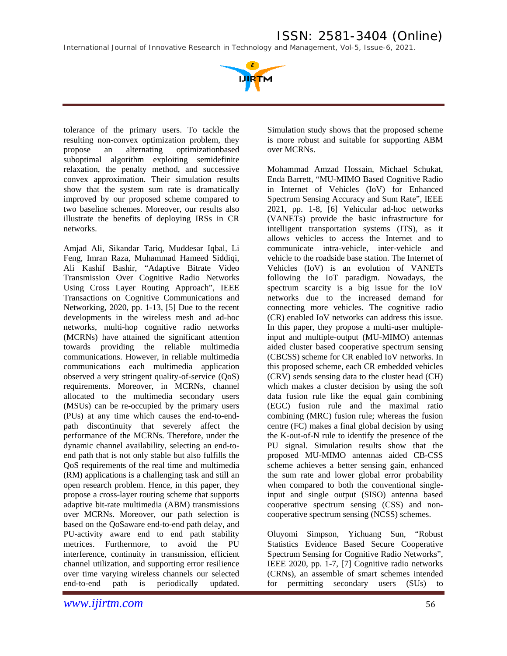*International Journal of Innovative Research in Technology and Management, Vol-5, Issue-6, 2021.* 



tolerance of the primary users. To tackle the resulting non-convex optimization problem, they propose an alternating optimizationbased suboptimal algorithm exploiting semidefinite relaxation, the penalty method, and successive convex approximation. Their simulation results show that the system sum rate is dramatically improved by our proposed scheme compared to two baseline schemes. Moreover, our results also illustrate the benefits of deploying IRSs in CR networks.

Amjad Ali, Sikandar Tariq, Muddesar Iqbal, Li Feng, Imran Raza, Muhammad Hameed Siddiqi, Ali Kashif Bashir, "Adaptive Bitrate Video Transmission Over Cognitive Radio Networks Using Cross Layer Routing Approach", IEEE Transactions on Cognitive Communications and Networking, 2020, pp. 1-13, [5] Due to the recent developments in the wireless mesh and ad-hoc networks, multi-hop cognitive radio networks (MCRNs) have attained the significant attention towards providing the reliable multimedia communications. However, in reliable multimedia communications each multimedia application observed a very stringent quality-of-service (QoS) requirements. Moreover, in MCRNs, channel allocated to the multimedia secondary users (MSUs) can be re-occupied by the primary users (PUs) at any time which causes the end-to-endpath discontinuity that severely affect the performance of the MCRNs. Therefore, under the dynamic channel availability, selecting an end-toend path that is not only stable but also fulfills the QoS requirements of the real time and multimedia (RM) applications is a challenging task and still an open research problem. Hence, in this paper, they propose a cross-layer routing scheme that supports adaptive bit-rate multimedia (ABM) transmissions over MCRNs. Moreover, our path selection is based on the QoSaware end-to-end path delay, and PU-activity aware end to end path stability metrices. Furthermore, to avoid the PU interference, continuity in transmission, efficient channel utilization, and supporting error resilience over time varying wireless channels our selected end-to-end path is periodically updated.

Simulation study shows that the proposed scheme is more robust and suitable for supporting ABM over MCRNs.

Mohammad Amzad Hossain, Michael Schukat, Enda Barrett, "MU-MIMO Based Cognitive Radio in Internet of Vehicles (IoV) for Enhanced Spectrum Sensing Accuracy and Sum Rate", IEEE 2021, pp. 1-8, [6] Vehicular ad-hoc networks (VANETs) provide the basic infrastructure for intelligent transportation systems (ITS), as it allows vehicles to access the Internet and to communicate intra-vehicle, inter-vehicle and vehicle to the roadside base station. The Internet of Vehicles (IoV) is an evolution of VANETs following the IoT paradigm. Nowadays, the spectrum scarcity is a big issue for the IoV networks due to the increased demand for connecting more vehicles. The cognitive radio (CR) enabled IoV networks can address this issue. In this paper, they propose a multi-user multipleinput and multiple-output (MU-MIMO) antennas aided cluster based cooperative spectrum sensing (CBCSS) scheme for CR enabled IoV networks. In this proposed scheme, each CR embedded vehicles (CRV) sends sensing data to the cluster head (CH) which makes a cluster decision by using the soft data fusion rule like the equal gain combining (EGC) fusion rule and the maximal ratio combining (MRC) fusion rule; whereas the fusion centre (FC) makes a final global decision by using the K-out-of-N rule to identify the presence of the PU signal. Simulation results show that the proposed MU-MIMO antennas aided CB-CSS scheme achieves a better sensing gain, enhanced the sum rate and lower global error probability when compared to both the conventional singleinput and single output (SISO) antenna based cooperative spectrum sensing (CSS) and noncooperative spectrum sensing (NCSS) schemes.

Oluyomi Simpson, Yichuang Sun, "Robust Statistics Evidence Based Secure Cooperative Spectrum Sensing for Cognitive Radio Networks", IEEE 2020, pp. 1-7, [7] Cognitive radio networks (CRNs), an assemble of smart schemes intended for permitting secondary users (SUs) to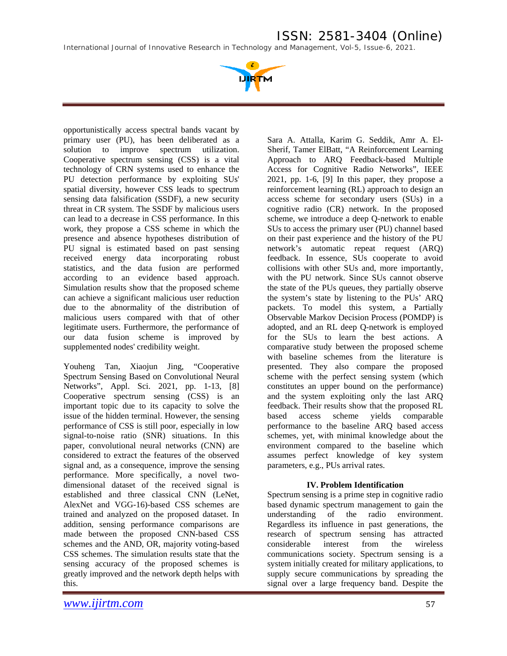*International Journal of Innovative Research in Technology and Management, Vol-5, Issue-6, 2021.* 



opportunistically access spectral bands vacant by primary user (PU), has been deliberated as a solution to improve spectrum utilization. Cooperative spectrum sensing (CSS) is a vital technology of CRN systems used to enhance the PU detection performance by exploiting SUs' spatial diversity, however CSS leads to spectrum sensing data falsification (SSDF), a new security threat in CR system. The SSDF by malicious users can lead to a decrease in CSS performance. In this work, they propose a CSS scheme in which the presence and absence hypotheses distribution of PU signal is estimated based on past sensing received energy data incorporating robust statistics, and the data fusion are performed according to an evidence based approach. Simulation results show that the proposed scheme can achieve a significant malicious user reduction due to the abnormality of the distribution of malicious users compared with that of other legitimate users. Furthermore, the performance of our data fusion scheme is improved by supplemented nodes' credibility weight.

Youheng Tan, Xiaojun Jing, "Cooperative Spectrum Sensing Based on Convolutional Neural Networks", Appl. Sci. 2021, pp. 1-13, [8] Cooperative spectrum sensing (CSS) is an important topic due to its capacity to solve the issue of the hidden terminal. However, the sensing performance of CSS is still poor, especially in low signal-to-noise ratio (SNR) situations. In this paper, convolutional neural networks (CNN) are considered to extract the features of the observed signal and, as a consequence, improve the sensing performance. More specifically, a novel twodimensional dataset of the received signal is established and three classical CNN (LeNet, AlexNet and VGG-16)-based CSS schemes are trained and analyzed on the proposed dataset. In addition, sensing performance comparisons are made between the proposed CNN-based CSS schemes and the AND, OR, majority voting-based CSS schemes. The simulation results state that the sensing accuracy of the proposed schemes is greatly improved and the network depth helps with this.

Sara A. Attalla, Karim G. Seddik, Amr A. El-Sherif, Tamer ElBatt, "A Reinforcement Learning Approach to ARQ Feedback-based Multiple Access for Cognitive Radio Networks", IEEE 2021, pp. 1-6, [9] In this paper, they propose a reinforcement learning (RL) approach to design an access scheme for secondary users (SUs) in a cognitive radio (CR) network. In the proposed scheme, we introduce a deep Q-network to enable SUs to access the primary user (PU) channel based on their past experience and the history of the PU network's automatic repeat request (ARQ) feedback. In essence, SUs cooperate to avoid collisions with other SUs and, more importantly, with the PU network. Since SUs cannot observe the state of the PUs queues, they partially observe the system's state by listening to the PUs' ARQ packets. To model this system, a Partially Observable Markov Decision Process (POMDP) is adopted, and an RL deep Q-network is employed for the SUs to learn the best actions. A comparative study between the proposed scheme with baseline schemes from the literature is presented. They also compare the proposed scheme with the perfect sensing system (which constitutes an upper bound on the performance) and the system exploiting only the last ARQ feedback. Their results show that the proposed RL based access scheme yields comparable performance to the baseline ARQ based access schemes, yet, with minimal knowledge about the environment compared to the baseline which assumes perfect knowledge of key system parameters, e.g., PUs arrival rates.

### **IV. Problem Identification**

Spectrum sensing is a prime step in cognitive radio based dynamic spectrum management to gain the understanding of the radio environment. Regardless its influence in past generations, the research of spectrum sensing has attracted considerable interest from the wireless communications society. Spectrum sensing is a system initially created for military applications, to supply secure communications by spreading the signal over a large frequency band. Despite the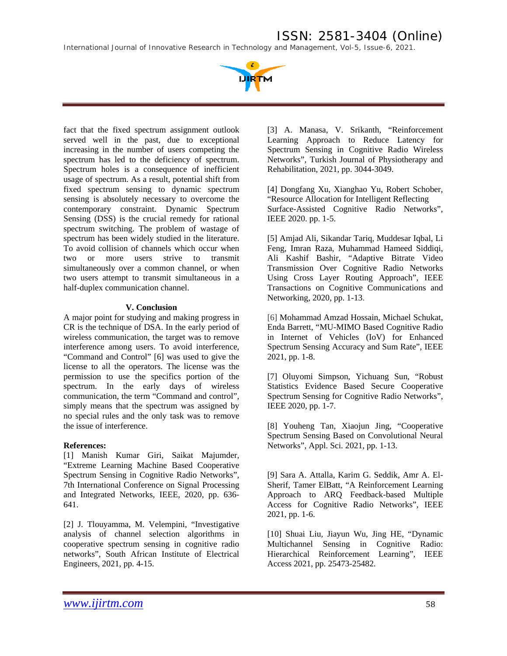*International Journal of Innovative Research in Technology and Management, Vol-5, Issue-6, 2021.* 



fact that the fixed spectrum assignment outlook served well in the past, due to exceptional increasing in the number of users competing the spectrum has led to the deficiency of spectrum. Spectrum holes is a consequence of inefficient usage of spectrum. As a result, potential shift from fixed spectrum sensing to dynamic spectrum sensing is absolutely necessary to overcome the contemporary constraint. Dynamic Spectrum Sensing (DSS) is the crucial remedy for rational spectrum switching. The problem of wastage of spectrum has been widely studied in the literature. To avoid collision of channels which occur when two or more users strive to transmit simultaneously over a common channel, or when two users attempt to transmit simultaneous in a half-duplex communication channel.

### **V. Conclusion**

A major point for studying and making progress in CR is the technique of DSA. In the early period of wireless communication, the target was to remove interference among users. To avoid interference, "Command and Control" [6] was used to give the license to all the operators. The license was the permission to use the specifics portion of the spectrum. In the early days of wireless communication, the term "Command and control", simply means that the spectrum was assigned by no special rules and the only task was to remove the issue of interference.

### **References:**

[1] Manish Kumar Giri, Saikat Majumder, "Extreme Learning Machine Based Cooperative Spectrum Sensing in Cognitive Radio Networks", 7th International Conference on Signal Processing and Integrated Networks, IEEE, 2020, pp. 636- 641.

[2] J. Tlouyamma, M. Velempini, "Investigative analysis of channel selection algorithms in cooperative spectrum sensing in cognitive radio networks", South African Institute of Electrical Engineers, 2021, pp. 4-15.

[3] A. Manasa, V. Srikanth, "Reinforcement Learning Approach to Reduce Latency for Spectrum Sensing in Cognitive Radio Wireless Networks", Turkish Journal of Physiotherapy and Rehabilitation, 2021, pp. 3044-3049.

[4] Dongfang Xu, Xianghao Yu, Robert Schober, "Resource Allocation for Intelligent Reflecting Surface-Assisted Cognitive Radio Networks", IEEE 2020. pp. 1-5.

[5] Amjad Ali, Sikandar Tariq, Muddesar Iqbal, Li Feng, Imran Raza, Muhammad Hameed Siddiqi, Ali Kashif Bashir, "Adaptive Bitrate Video Transmission Over Cognitive Radio Networks Using Cross Layer Routing Approach", IEEE Transactions on Cognitive Communications and Networking, 2020, pp. 1-13.

[6] Mohammad Amzad Hossain, Michael Schukat, Enda Barrett, "MU-MIMO Based Cognitive Radio in Internet of Vehicles (IoV) for Enhanced Spectrum Sensing Accuracy and Sum Rate", IEEE 2021, pp. 1-8.

[7] Oluyomi Simpson, Yichuang Sun, "Robust Statistics Evidence Based Secure Cooperative Spectrum Sensing for Cognitive Radio Networks", IEEE 2020, pp. 1-7.

[8] Youheng Tan, Xiaojun Jing, "Cooperative Spectrum Sensing Based on Convolutional Neural Networks", Appl. Sci. 2021, pp. 1-13.

[9] Sara A. Attalla, Karim G. Seddik, Amr A. El-Sherif, Tamer ElBatt, "A Reinforcement Learning Approach to ARQ Feedback-based Multiple Access for Cognitive Radio Networks", IEEE 2021, pp. 1-6.

[10] Shuai Liu, Jiayun Wu, Jing HE, "Dynamic Multichannel Sensing in Cognitive Radio: Hierarchical Reinforcement Learning", IEEE Access 2021, pp. 25473-25482.